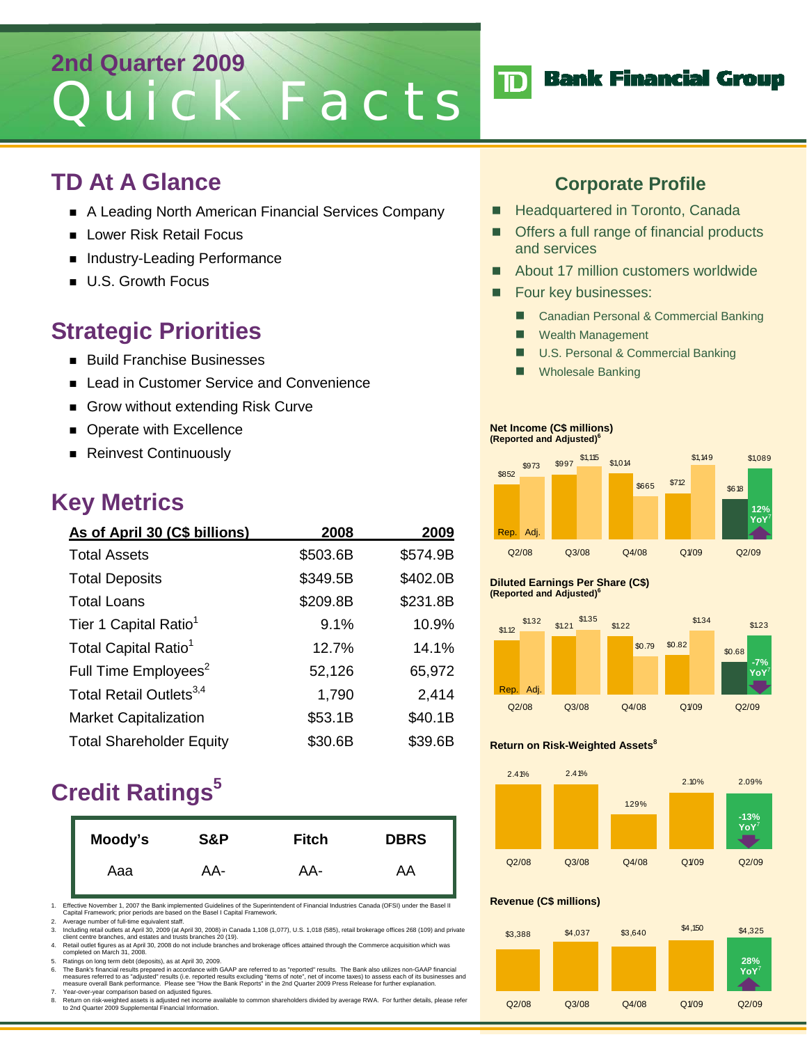# **2nd Quarter 2009** Quick Facts

### **TD At A Glance**

- A Leading North American Financial Services Company
- Lower Risk Retail Focus
- Industry-Leading Performance
- **U.S. Growth Focus**

## **Strategic Priorities**

- **Build Franchise Businesses**
- Lead in Customer Service and Convenience
- Grow without extending Risk Curve
- **Derate with Excellence**
- Reinvest Continuously

### **Key Metrics**

| As of April 30 (C\$ billions)       | 2008     | 2009     |
|-------------------------------------|----------|----------|
| <b>Total Assets</b>                 | \$503.6B | \$574.9B |
| <b>Total Deposits</b>               | \$349.5B | \$402.0B |
| <b>Total Loans</b>                  | \$209.8B | \$231.8B |
| Tier 1 Capital Ratio <sup>1</sup>   | 9.1%     | 10.9%    |
| Total Capital Ratio <sup>1</sup>    | 12.7%    | 14.1%    |
| Full Time Employees <sup>2</sup>    | 52,126   | 65,972   |
| Total Retail Outlets <sup>3,4</sup> | 1,790    | 2,414    |
| <b>Market Capitalization</b>        | \$53.1B  | \$40.1B  |
| <b>Total Shareholder Equity</b>     | \$30.6B  | \$39.6B  |

# **Credit Ratings<sup>5</sup>**

| Moody's | S&P | <b>Fitch</b> | <b>DBRS</b> |
|---------|-----|--------------|-------------|
| Aaa     | AA- | AA-          | AA          |

1. Effective November 1, 2007 the Bank implemented Guidelines of the Superintendent of Financial Industries Canada (OFSI) under the Basel II Capital Framework; prior periods are based on the Basel I Capital Framework.

- 2. Average number of full-time equivalent staff.<br>3. Including retail outlets at April 30, 2009 (at April 30, 2008) in Canada 1,108 (1,077), U.S. 1,018 (585), retail brokerage offices 268 (109) and private<br>Client centre bra
- 4. Retail outlet figures as at April 30, 2008 do not include branches and brokerage offices attained through the Commerce acquisition which was<br>completed on March 31, 2008.<br>5. Ratings on long term debt (deposits), as at Ap

6. The Bank's financial results prepared in accordance with GAAP are referred to as "reported" results. The Bank also utilizes non-GAAP financial<br>measures referred to as "adjusted" results (i.e. reported results excluding 7. Year-over-year comparison based on adjusted figures.

8. Return on risk-weighted assets is adjusted net income available to common shareholders divided by average RWA. For further details, please refer to 2nd Quarter 2009 Supplemental Financial Information.

### **Corporate Profile**

- Headquartered in Toronto, Canada
- Offers a full range of financial products and services
- About 17 million customers worldwide
- Four key businesses:
	- Canadian Personal & Commercial Banking
	- **Wealth Management**
	- U.S. Personal & Commercial Banking
	- Wholesale Banking

#### **Net Income (C\$ millions) (Reported and Adjusted)6**



#### **Diluted Earnings Per Share (C\$) (Reported and Adjusted)6**



#### **Return on Risk-Weighted Assets<sup>8</sup>**



#### **Revenue (C\$ millions)**



## **TD** Bank Financial Group